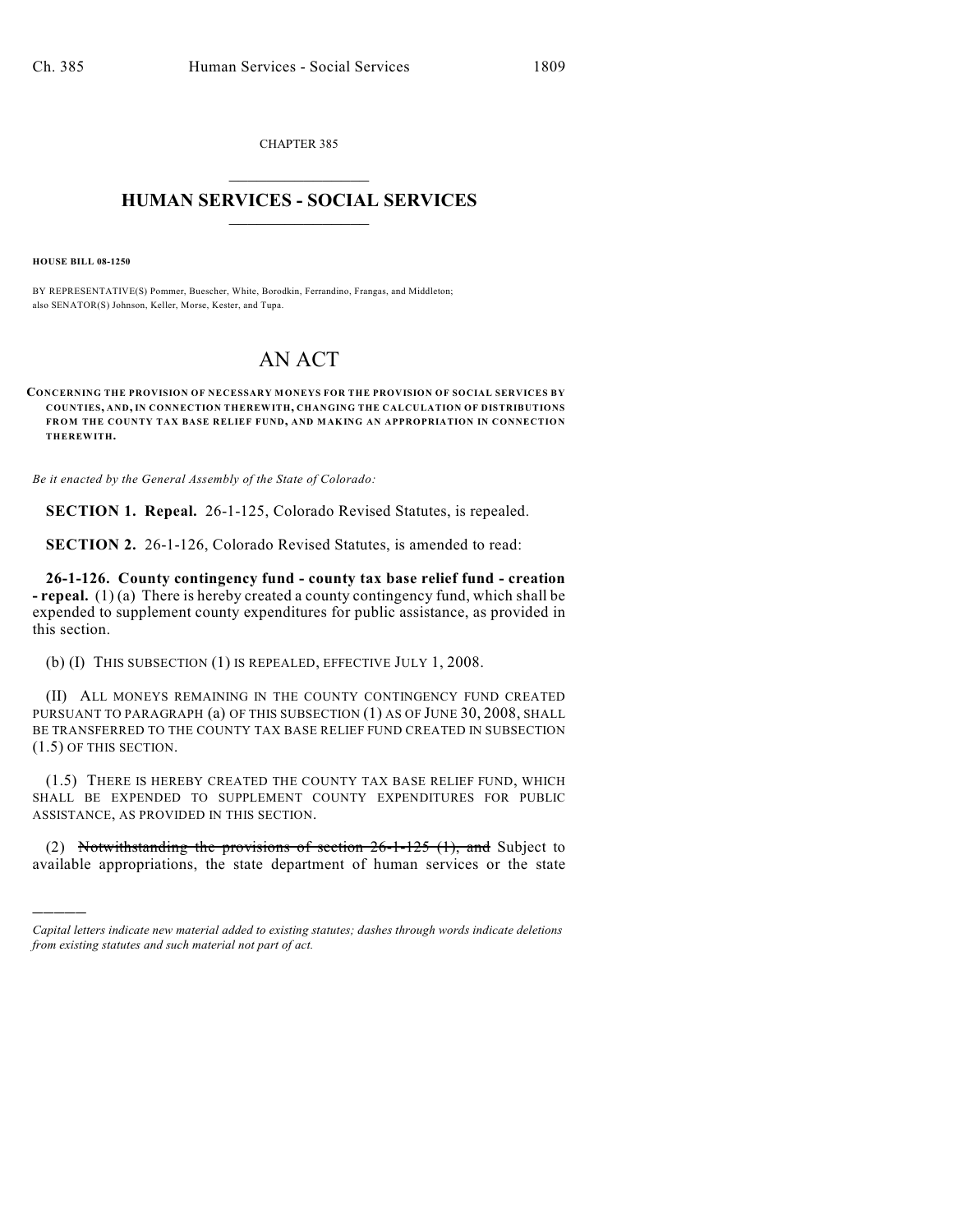CHAPTER 385  $\overline{\phantom{a}}$  . The set of the set of the set of the set of the set of the set of the set of the set of the set of the set of the set of the set of the set of the set of the set of the set of the set of the set of the set o

## **HUMAN SERVICES - SOCIAL SERVICES**  $\frac{1}{2}$  ,  $\frac{1}{2}$  ,  $\frac{1}{2}$  ,  $\frac{1}{2}$  ,  $\frac{1}{2}$  ,  $\frac{1}{2}$  ,  $\frac{1}{2}$

**HOUSE BILL 08-1250**

)))))

BY REPRESENTATIVE(S) Pommer, Buescher, White, Borodkin, Ferrandino, Frangas, and Middleton; also SENATOR(S) Johnson, Keller, Morse, Kester, and Tupa.

## AN ACT

**CONCERNING THE PROVISION OF NECESSARY MONEYS FOR THE PROVISION OF SOCIAL SERVICES BY COUNTIES, AND, IN CONNECTION THEREWITH, CHANGING THE CALCULATION OF DISTRIBUTIONS FROM THE COUNTY TAX BASE RELIEF FUND, AND MAKING AN APPROPRIATION IN CONNECTION THEREWITH.**

*Be it enacted by the General Assembly of the State of Colorado:*

**SECTION 1. Repeal.** 26-1-125, Colorado Revised Statutes, is repealed.

**SECTION 2.** 26-1-126, Colorado Revised Statutes, is amended to read:

**26-1-126. County contingency fund - county tax base relief fund - creation - repeal.** (1) (a) There is hereby created a county contingency fund, which shall be expended to supplement county expenditures for public assistance, as provided in this section.

(b) (I) THIS SUBSECTION (1) IS REPEALED, EFFECTIVE JULY 1, 2008.

(II) ALL MONEYS REMAINING IN THE COUNTY CONTINGENCY FUND CREATED PURSUANT TO PARAGRAPH (a) OF THIS SUBSECTION (1) AS OF JUNE 30, 2008, SHALL BE TRANSFERRED TO THE COUNTY TAX BASE RELIEF FUND CREATED IN SUBSECTION (1.5) OF THIS SECTION.

(1.5) THERE IS HEREBY CREATED THE COUNTY TAX BASE RELIEF FUND, WHICH SHALL BE EXPENDED TO SUPPLEMENT COUNTY EXPENDITURES FOR PUBLIC ASSISTANCE, AS PROVIDED IN THIS SECTION.

(2) Notwithstanding the provisions of section  $26-1-125$  (1), and Subject to available appropriations, the state department of human services or the state

*Capital letters indicate new material added to existing statutes; dashes through words indicate deletions from existing statutes and such material not part of act.*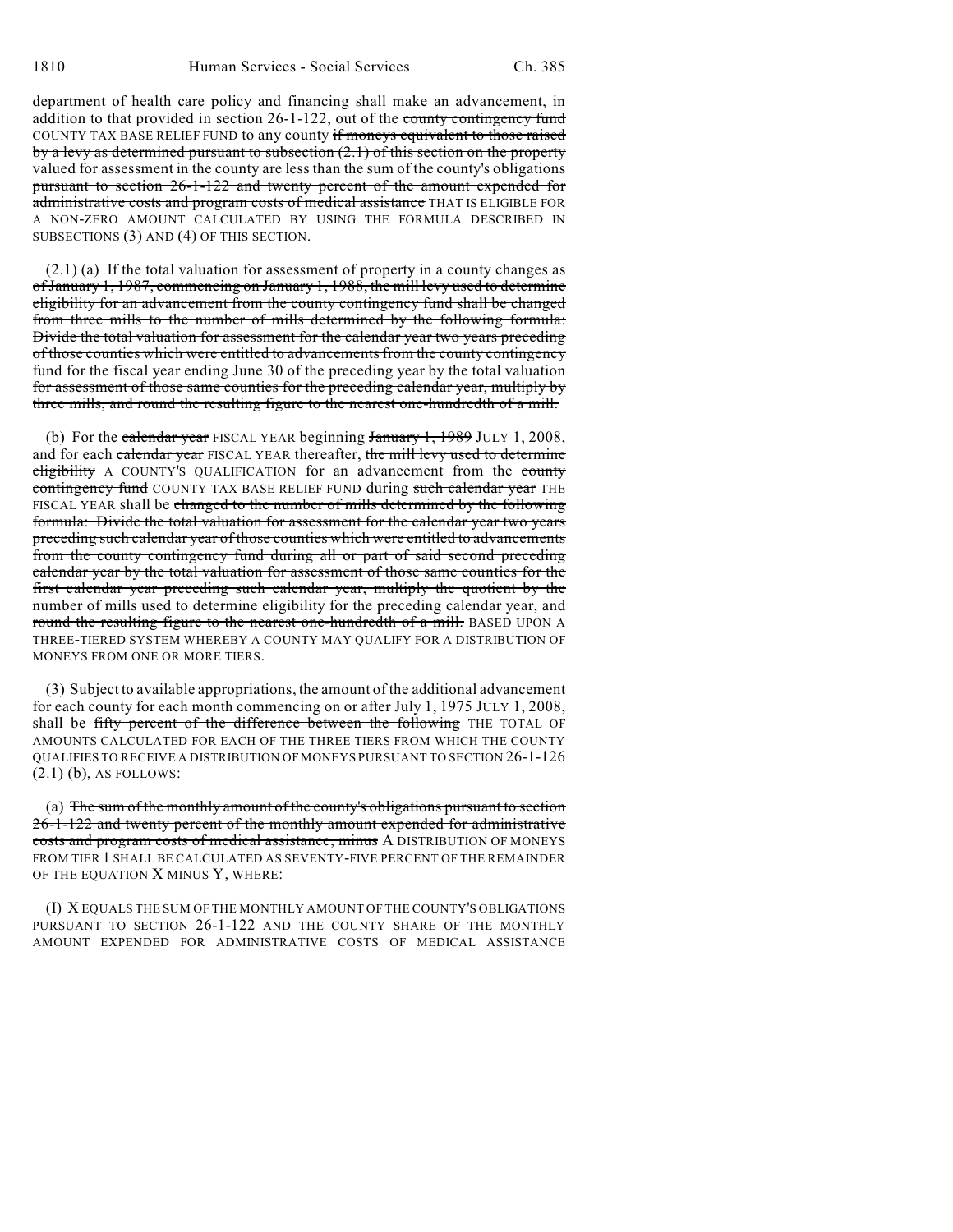department of health care policy and financing shall make an advancement, in addition to that provided in section  $26-1-122$ , out of the county contingency fund COUNTY TAX BASE RELIEF FUND to any county if moneys equivalent to those raised by a levy as determined pursuant to subsection (2.1) of this section on the property valued for assessment in the county are less than the sum of the county's obligations pursuant to section 26-1-122 and twenty percent of the amount expended for administrative costs and program costs of medical assistance THAT IS ELIGIBLE FOR A NON-ZERO AMOUNT CALCULATED BY USING THE FORMULA DESCRIBED IN SUBSECTIONS (3) AND (4) OF THIS SECTION.

 $(2.1)$  (a) If the total valuation for assessment of property in a county changes as of January 1, 1987, commencing on January 1, 1988, the mill levy used to determine eligibility for an advancement from the county contingency fund shall be changed from three mills to the number of mills determined by the following formula: Divide the total valuation for assessment for the calendar year two years preceding of those counties which were entitled to advancements from the county contingency fund for the fiscal year ending June 30 of the preceding year by the total valuation for assessment of those same counties for the preceding calendar year, multiply by three mills, and round the resulting figure to the nearest one-hundredth of a mill.

(b) For the calendar year FISCAL YEAR beginning January 1, 1989 JULY 1, 2008, and for each calendar year FISCAL YEAR thereafter, the mill levy used to determine eligibility A COUNTY'S QUALIFICATION for an advancement from the county contingency fund COUNTY TAX BASE RELIEF FUND during such calendar year THE FISCAL YEAR shall be changed to the number of mills determined by the following formula: Divide the total valuation for assessment for the calendar year two years preceding such calendar year of those counties which were entitled to advancements from the county contingency fund during all or part of said second preceding calendar year by the total valuation for assessment of those same counties for the first calendar year preceding such calendar year, multiply the quotient by the number of mills used to determine eligibility for the preceding calendar year, and round the resulting figure to the nearest one-hundredth of a mill. BASED UPON A THREE-TIERED SYSTEM WHEREBY A COUNTY MAY QUALIFY FOR A DISTRIBUTION OF MONEYS FROM ONE OR MORE TIERS.

(3) Subject to available appropriations, the amount of the additional advancement for each county for each month commencing on or after  $\frac{1}{11}$ ,  $\frac{1975}{11}$  JULY 1, 2008, shall be fifty percent of the difference between the following THE TOTAL OF AMOUNTS CALCULATED FOR EACH OF THE THREE TIERS FROM WHICH THE COUNTY QUALIFIES TO RECEIVE A DISTRIBUTION OF MONEYS PURSUANT TO SECTION 26-1-126 (2.1) (b), AS FOLLOWS:

(a) The sum of the monthly amount of the county's obligations pursuant to section 26-1-122 and twenty percent of the monthly amount expended for administrative costs and program costs of medical assistance, minus A DISTRIBUTION OF MONEYS FROM TIER 1 SHALL BE CALCULATED AS SEVENTY-FIVE PERCENT OF THE REMAINDER OF THE EQUATION X MINUS Y, WHERE:

(I) X EQUALS THE SUM OF THE MONTHLY AMOUNT OF THE COUNTY'S OBLIGATIONS PURSUANT TO SECTION 26-1-122 AND THE COUNTY SHARE OF THE MONTHLY AMOUNT EXPENDED FOR ADMINISTRATIVE COSTS OF MEDICAL ASSISTANCE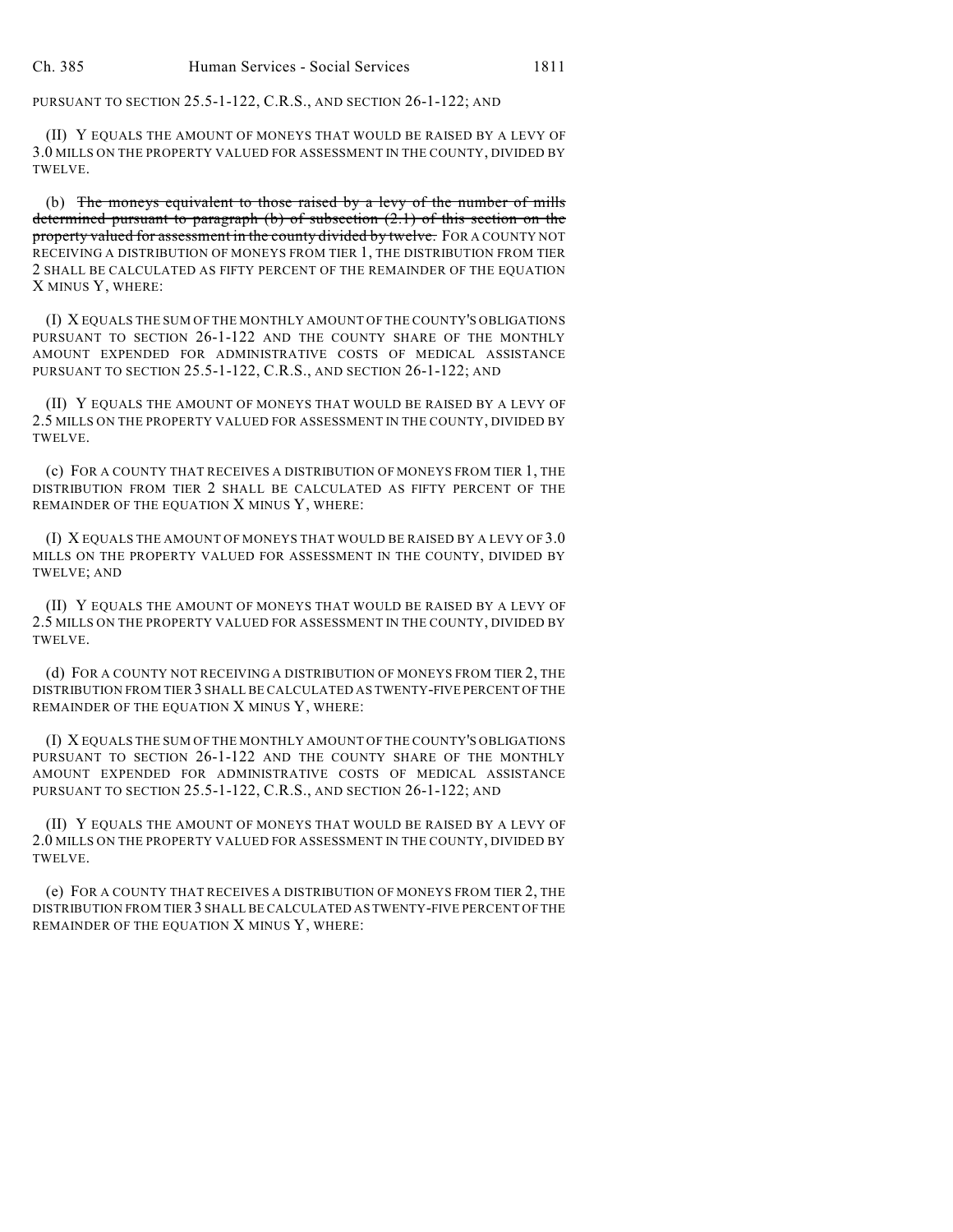PURSUANT TO SECTION 25.5-1-122, C.R.S., AND SECTION 26-1-122; AND

(II) Y EQUALS THE AMOUNT OF MONEYS THAT WOULD BE RAISED BY A LEVY OF 3.0 MILLS ON THE PROPERTY VALUED FOR ASSESSMENT IN THE COUNTY, DIVIDED BY TWELVE.

(b) The moneys equivalent to those raised by a levy of the number of mills determined pursuant to paragraph (b) of subsection (2.1) of this section on the property valued for assessment in the county divided by twelve. FOR A COUNTY NOT RECEIVING A DISTRIBUTION OF MONEYS FROM TIER 1, THE DISTRIBUTION FROM TIER 2 SHALL BE CALCULATED AS FIFTY PERCENT OF THE REMAINDER OF THE EQUATION X MINUS Y, WHERE:

(I) X EQUALS THE SUM OF THE MONTHLY AMOUNT OF THE COUNTY'S OBLIGATIONS PURSUANT TO SECTION 26-1-122 AND THE COUNTY SHARE OF THE MONTHLY AMOUNT EXPENDED FOR ADMINISTRATIVE COSTS OF MEDICAL ASSISTANCE PURSUANT TO SECTION 25.5-1-122, C.R.S., AND SECTION 26-1-122; AND

(II) Y EQUALS THE AMOUNT OF MONEYS THAT WOULD BE RAISED BY A LEVY OF 2.5 MILLS ON THE PROPERTY VALUED FOR ASSESSMENT IN THE COUNTY, DIVIDED BY TWELVE.

(c) FOR A COUNTY THAT RECEIVES A DISTRIBUTION OF MONEYS FROM TIER 1, THE DISTRIBUTION FROM TIER 2 SHALL BE CALCULATED AS FIFTY PERCENT OF THE REMAINDER OF THE EQUATION X MINUS Y, WHERE:

(I) X EQUALS THE AMOUNT OF MONEYS THAT WOULD BE RAISED BY A LEVY OF 3.0 MILLS ON THE PROPERTY VALUED FOR ASSESSMENT IN THE COUNTY, DIVIDED BY TWELVE; AND

(II) Y EQUALS THE AMOUNT OF MONEYS THAT WOULD BE RAISED BY A LEVY OF 2.5 MILLS ON THE PROPERTY VALUED FOR ASSESSMENT IN THE COUNTY, DIVIDED BY TWELVE.

(d) FOR A COUNTY NOT RECEIVING A DISTRIBUTION OF MONEYS FROM TIER 2, THE DISTRIBUTION FROM TIER 3 SHALL BE CALCULATED AS TWENTY-FIVE PERCENT OF THE REMAINDER OF THE EQUATION X MINUS Y, WHERE:

(I) X EQUALS THE SUM OF THE MONTHLY AMOUNT OF THE COUNTY'S OBLIGATIONS PURSUANT TO SECTION 26-1-122 AND THE COUNTY SHARE OF THE MONTHLY AMOUNT EXPENDED FOR ADMINISTRATIVE COSTS OF MEDICAL ASSISTANCE PURSUANT TO SECTION 25.5-1-122, C.R.S., AND SECTION 26-1-122; AND

(II) Y EQUALS THE AMOUNT OF MONEYS THAT WOULD BE RAISED BY A LEVY OF 2.0 MILLS ON THE PROPERTY VALUED FOR ASSESSMENT IN THE COUNTY, DIVIDED BY TWELVE.

(e) FOR A COUNTY THAT RECEIVES A DISTRIBUTION OF MONEYS FROM TIER 2, THE DISTRIBUTION FROM TIER 3 SHALL BE CALCULATED AS TWENTY-FIVE PERCENT OF THE REMAINDER OF THE EQUATION X MINUS Y, WHERE: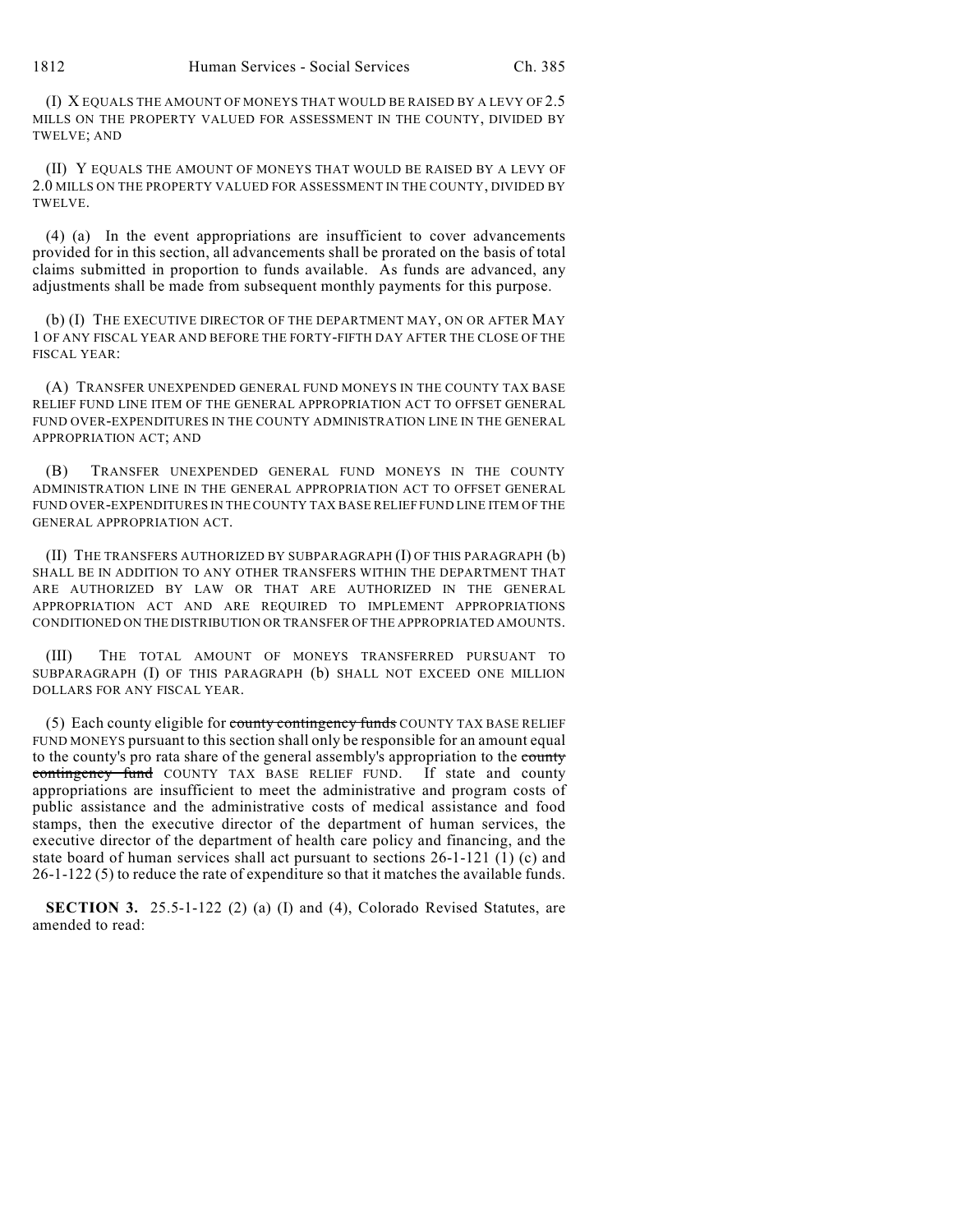(I) X EQUALS THE AMOUNT OF MONEYS THAT WOULD BE RAISED BY A LEVY OF 2.5 MILLS ON THE PROPERTY VALUED FOR ASSESSMENT IN THE COUNTY, DIVIDED BY TWELVE; AND

(II) Y EQUALS THE AMOUNT OF MONEYS THAT WOULD BE RAISED BY A LEVY OF 2.0 MILLS ON THE PROPERTY VALUED FOR ASSESSMENT IN THE COUNTY, DIVIDED BY TWELVE.

(4) (a) In the event appropriations are insufficient to cover advancements provided for in this section, all advancements shall be prorated on the basis of total claims submitted in proportion to funds available. As funds are advanced, any adjustments shall be made from subsequent monthly payments for this purpose.

(b) (I) THE EXECUTIVE DIRECTOR OF THE DEPARTMENT MAY, ON OR AFTER MAY 1 OF ANY FISCAL YEAR AND BEFORE THE FORTY-FIFTH DAY AFTER THE CLOSE OF THE FISCAL YEAR:

(A) TRANSFER UNEXPENDED GENERAL FUND MONEYS IN THE COUNTY TAX BASE RELIEF FUND LINE ITEM OF THE GENERAL APPROPRIATION ACT TO OFFSET GENERAL FUND OVER-EXPENDITURES IN THE COUNTY ADMINISTRATION LINE IN THE GENERAL APPROPRIATION ACT; AND

(B) TRANSFER UNEXPENDED GENERAL FUND MONEYS IN THE COUNTY ADMINISTRATION LINE IN THE GENERAL APPROPRIATION ACT TO OFFSET GENERAL FUND OVER-EXPENDITURES IN THE COUNTY TAX BASE RELIEF FUND LINE ITEM OF THE GENERAL APPROPRIATION ACT.

(II) THE TRANSFERS AUTHORIZED BY SUBPARAGRAPH (I) OF THIS PARAGRAPH (b) SHALL BE IN ADDITION TO ANY OTHER TRANSFERS WITHIN THE DEPARTMENT THAT ARE AUTHORIZED BY LAW OR THAT ARE AUTHORIZED IN THE GENERAL APPROPRIATION ACT AND ARE REQUIRED TO IMPLEMENT APPROPRIATIONS CONDITIONED ON THE DISTRIBUTION OR TRANSFER OF THE APPROPRIATED AMOUNTS.

(III) THE TOTAL AMOUNT OF MONEYS TRANSFERRED PURSUANT TO SUBPARAGRAPH (I) OF THIS PARAGRAPH (b) SHALL NOT EXCEED ONE MILLION DOLLARS FOR ANY FISCAL YEAR.

(5) Each county eligible for county contingency funds COUNTY TAX BASE RELIEF FUND MONEYS pursuant to this section shall only be responsible for an amount equal to the county's pro rata share of the general assembly's appropriation to the county contingency fund COUNTY TAX BASE RELIEF FUND. If state and county appropriations are insufficient to meet the administrative and program costs of public assistance and the administrative costs of medical assistance and food stamps, then the executive director of the department of human services, the executive director of the department of health care policy and financing, and the state board of human services shall act pursuant to sections 26-1-121 (1) (c) and 26-1-122 (5) to reduce the rate of expenditure so that it matches the available funds.

**SECTION 3.** 25.5-1-122 (2) (a) (I) and (4), Colorado Revised Statutes, are amended to read: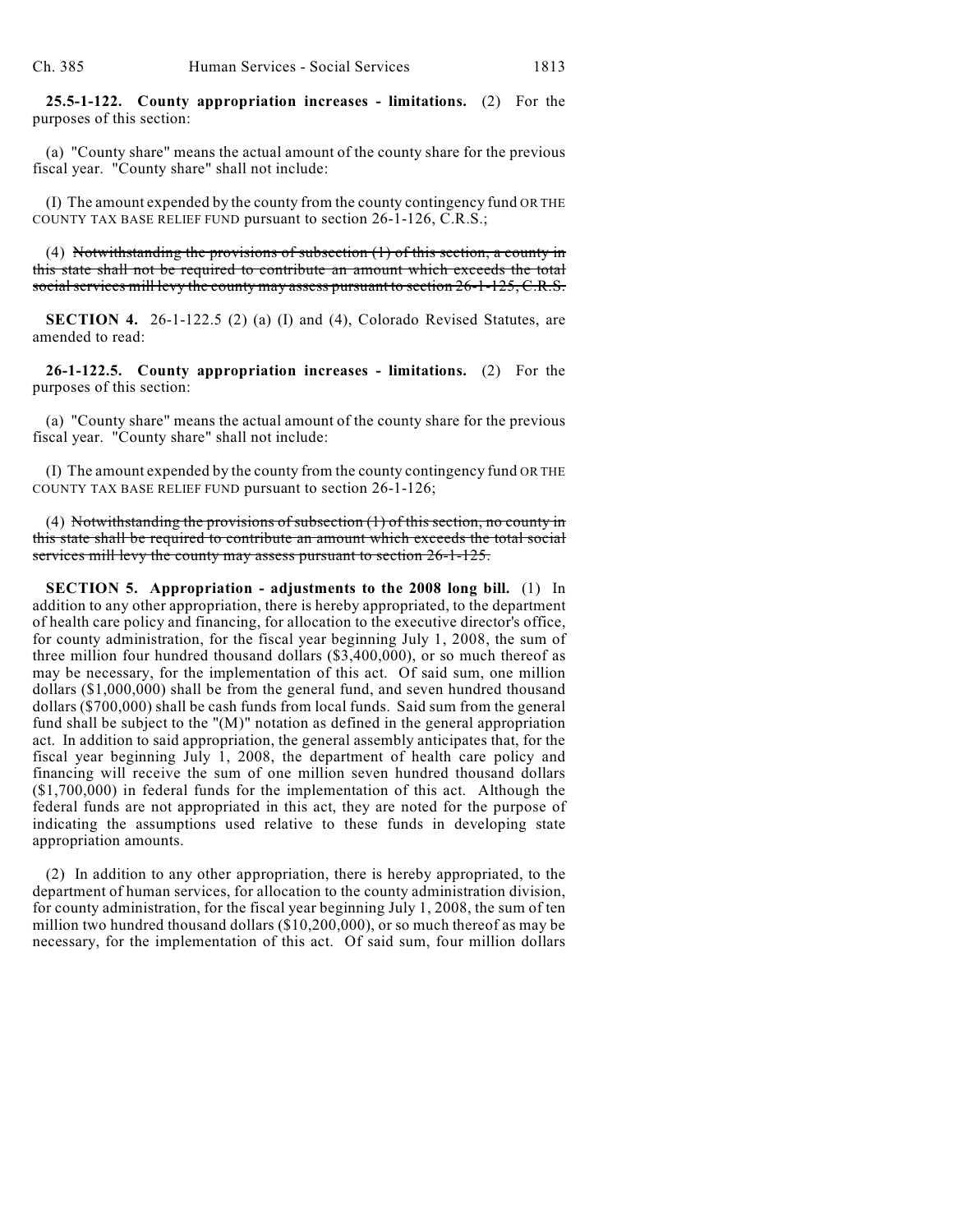**25.5-1-122. County appropriation increases - limitations.** (2) For the purposes of this section:

(a) "County share" means the actual amount of the county share for the previous fiscal year. "County share" shall not include:

(I) The amount expended by the county from the county contingency fund OR THE COUNTY TAX BASE RELIEF FUND pursuant to section 26-1-126, C.R.S.;

(4) Notwithstanding the provisions of subsection  $(1)$  of this section, a county in this state shall not be required to contribute an amount which exceeds the total social services mill levy the county may assess pursuant to section 26-1-125, C.R.S.

**SECTION 4.** 26-1-122.5 (2) (a) (I) and (4), Colorado Revised Statutes, are amended to read:

**26-1-122.5. County appropriation increases - limitations.** (2) For the purposes of this section:

(a) "County share" means the actual amount of the county share for the previous fiscal year. "County share" shall not include:

(I) The amount expended by the county from the county contingency fund OR THE COUNTY TAX BASE RELIEF FUND pursuant to section 26-1-126;

(4) Notwithstanding the provisions of subsection (1) of this section, no county in this state shall be required to contribute an amount which exceeds the total social services mill levy the county may assess pursuant to section 26-1-125.

**SECTION 5. Appropriation - adjustments to the 2008 long bill.** (1) In addition to any other appropriation, there is hereby appropriated, to the department of health care policy and financing, for allocation to the executive director's office, for county administration, for the fiscal year beginning July 1, 2008, the sum of three million four hundred thousand dollars (\$3,400,000), or so much thereof as may be necessary, for the implementation of this act. Of said sum, one million dollars (\$1,000,000) shall be from the general fund, and seven hundred thousand dollars (\$700,000) shall be cash funds from local funds. Said sum from the general fund shall be subject to the "(M)" notation as defined in the general appropriation act. In addition to said appropriation, the general assembly anticipates that, for the fiscal year beginning July 1, 2008, the department of health care policy and financing will receive the sum of one million seven hundred thousand dollars (\$1,700,000) in federal funds for the implementation of this act. Although the federal funds are not appropriated in this act, they are noted for the purpose of indicating the assumptions used relative to these funds in developing state appropriation amounts.

(2) In addition to any other appropriation, there is hereby appropriated, to the department of human services, for allocation to the county administration division, for county administration, for the fiscal year beginning July 1, 2008, the sum of ten million two hundred thousand dollars (\$10,200,000), or so much thereof as may be necessary, for the implementation of this act. Of said sum, four million dollars